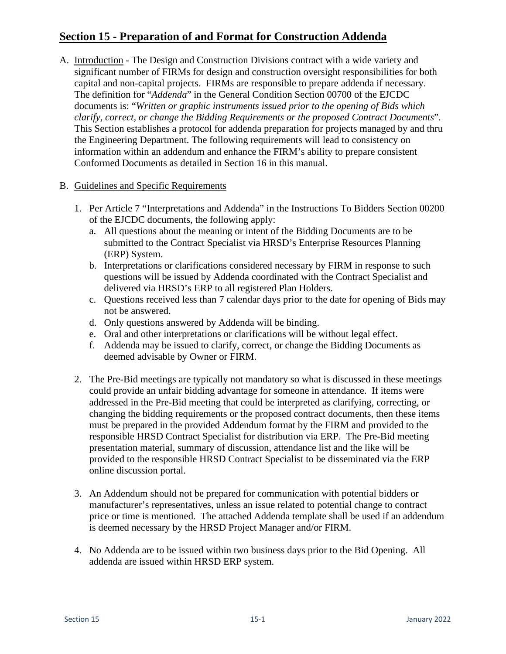## **Section 15 - Preparation of and Format for Construction Addenda**

- A. Introduction The Design and Construction Divisions contract with a wide variety and significant number of FIRMs for design and construction oversight responsibilities for both capital and non-capital projects. FIRMs are responsible to prepare addenda if necessary. The definition for "*Addenda*" in the General Condition Section 00700 of the EJCDC documents is: "*Written or graphic instruments issued prior to the opening of Bids which clarify, correct, or change the Bidding Requirements or the proposed Contract Documents*". This Section establishes a protocol for addenda preparation for projects managed by and thru the Engineering Department. The following requirements will lead to consistency on information within an addendum and enhance the FIRM's ability to prepare consistent Conformed Documents as detailed in Section 16 in this manual.
- B. Guidelines and Specific Requirements
	- 1. Per Article 7 "Interpretations and Addenda" in the Instructions To Bidders Section 00200 of the EJCDC documents, the following apply:
		- a. All questions about the meaning or intent of the Bidding Documents are to be submitted to the Contract Specialist via HRSD's Enterprise Resources Planning (ERP) System.
		- b. Interpretations or clarifications considered necessary by FIRM in response to such questions will be issued by Addenda coordinated with the Contract Specialist and delivered via HRSD's ERP to all registered Plan Holders.
		- c. Questions received less than 7 calendar days prior to the date for opening of Bids may not be answered.
		- d. Only questions answered by Addenda will be binding.
		- e. Oral and other interpretations or clarifications will be without legal effect.
		- f. Addenda may be issued to clarify, correct, or change the Bidding Documents as deemed advisable by Owner or FIRM.
	- 2. The Pre-Bid meetings are typically not mandatory so what is discussed in these meetings could provide an unfair bidding advantage for someone in attendance. If items were addressed in the Pre-Bid meeting that could be interpreted as clarifying, correcting, or changing the bidding requirements or the proposed contract documents, then these items must be prepared in the provided Addendum format by the FIRM and provided to the responsible HRSD Contract Specialist for distribution via ERP. The Pre-Bid meeting presentation material, summary of discussion, attendance list and the like will be provided to the responsible HRSD Contract Specialist to be disseminated via the ERP online discussion portal.
	- 3. An Addendum should not be prepared for communication with potential bidders or manufacturer's representatives, unless an issue related to potential change to contract price or time is mentioned. The attached Addenda template shall be used if an addendum is deemed necessary by the HRSD Project Manager and/or FIRM.
	- 4. No Addenda are to be issued within two business days prior to the Bid Opening. All addenda are issued within HRSD ERP system.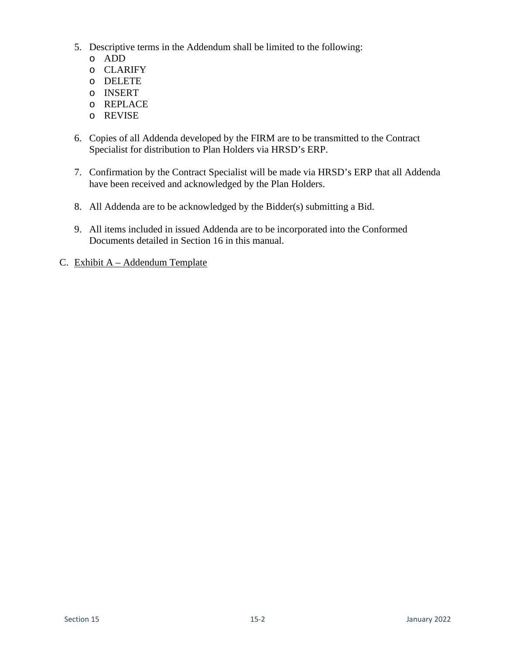- 5. Descriptive terms in the Addendum shall be limited to the following:
	- o ADD
	- o CLARIFY
	- o DELETE
	- o INSERT
	- o REPLACE
	- o REVISE
- 6. Copies of all Addenda developed by the FIRM are to be transmitted to the Contract Specialist for distribution to Plan Holders via HRSD's ERP.
- 7. Confirmation by the Contract Specialist will be made via HRSD's ERP that all Addenda have been received and acknowledged by the Plan Holders.
- 8. All Addenda are to be acknowledged by the Bidder(s) submitting a Bid.
- 9. All items included in issued Addenda are to be incorporated into the Conformed Documents detailed in Section 16 in this manual.
- C. Exhibit A Addendum Template